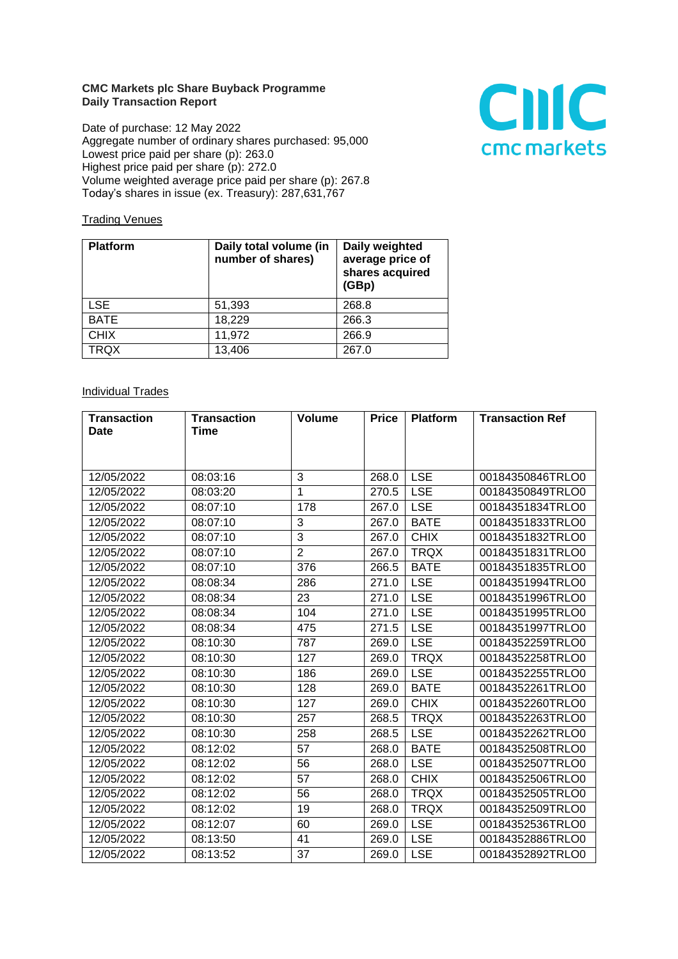## **CMC Markets plc Share Buyback Programme Daily Transaction Report**

Date of purchase: 12 May 2022 Aggregate number of ordinary shares purchased: 95,000 Lowest price paid per share (p): 263.0 Highest price paid per share (p): 272.0 Volume weighted average price paid per share (p): 267.8 Today's shares in issue (ex. Treasury): 287,631,767



## **Trading Venues**

| <b>Platform</b> | Daily total volume (in<br>number of shares) | Daily weighted<br>average price of<br>shares acquired<br>(GBp) |
|-----------------|---------------------------------------------|----------------------------------------------------------------|
| <b>LSE</b>      | 51,393                                      | 268.8                                                          |
| <b>BATE</b>     | 18,229                                      | 266.3                                                          |
| <b>CHIX</b>     | 11,972                                      | 266.9                                                          |
| <b>TRQX</b>     | 13,406                                      | 267.0                                                          |

## **Individual Trades**

| <b>Transaction</b> | <b>Transaction</b> | <b>Volume</b>  | <b>Price</b> | <b>Platform</b> | <b>Transaction Ref</b> |
|--------------------|--------------------|----------------|--------------|-----------------|------------------------|
| Date               | <b>Time</b>        |                |              |                 |                        |
|                    |                    |                |              |                 |                        |
|                    |                    |                |              |                 |                        |
| 12/05/2022         | 08:03:16           | 3              | 268.0        | <b>LSE</b>      | 00184350846TRLO0       |
| 12/05/2022         | 08:03:20           | $\mathbf{1}$   | 270.5        | <b>LSE</b>      | 00184350849TRLO0       |
| 12/05/2022         | 08:07:10           | 178            | 267.0        | <b>LSE</b>      | 00184351834TRLO0       |
| 12/05/2022         | 08:07:10           | 3              | 267.0        | <b>BATE</b>     | 00184351833TRLO0       |
| 12/05/2022         | 08:07:10           | $\overline{3}$ | 267.0        | <b>CHIX</b>     | 00184351832TRLO0       |
| 12/05/2022         | 08:07:10           | $\overline{2}$ | 267.0        | <b>TRQX</b>     | 00184351831TRLO0       |
| 12/05/2022         | 08:07:10           | 376            | 266.5        | <b>BATE</b>     | 00184351835TRLO0       |
| 12/05/2022         | 08:08:34           | 286            | 271.0        | <b>LSE</b>      | 00184351994TRLO0       |
| 12/05/2022         | 08:08:34           | 23             | 271.0        | <b>LSE</b>      | 00184351996TRLO0       |
| 12/05/2022         | 08:08:34           | 104            | 271.0        | <b>LSE</b>      | 00184351995TRLO0       |
| 12/05/2022         | 08:08:34           | 475            | 271.5        | <b>LSE</b>      | 00184351997TRLO0       |
| 12/05/2022         | 08:10:30           | 787            | 269.0        | <b>LSE</b>      | 00184352259TRLO0       |
| 12/05/2022         | 08:10:30           | 127            | 269.0        | <b>TRQX</b>     | 00184352258TRLO0       |
| 12/05/2022         | 08:10:30           | 186            | 269.0        | <b>LSE</b>      | 00184352255TRLO0       |
| 12/05/2022         | 08:10:30           | 128            | 269.0        | <b>BATE</b>     | 00184352261TRLO0       |
| 12/05/2022         | 08:10:30           | 127            | 269.0        | <b>CHIX</b>     | 00184352260TRLO0       |
| 12/05/2022         | 08:10:30           | 257            | 268.5        | <b>TRQX</b>     | 00184352263TRLO0       |
| 12/05/2022         | 08:10:30           | 258            | 268.5        | <b>LSE</b>      | 00184352262TRLO0       |
| 12/05/2022         | 08:12:02           | 57             | 268.0        | <b>BATE</b>     | 00184352508TRLO0       |
| 12/05/2022         | 08:12:02           | 56             | 268.0        | <b>LSE</b>      | 00184352507TRLO0       |
| 12/05/2022         | 08:12:02           | 57             | 268.0        | <b>CHIX</b>     | 00184352506TRLO0       |
| 12/05/2022         | 08:12:02           | 56             | 268.0        | <b>TRQX</b>     | 00184352505TRLO0       |
| 12/05/2022         | 08:12:02           | 19             | 268.0        | <b>TRQX</b>     | 00184352509TRLO0       |
| 12/05/2022         | 08:12:07           | 60             | 269.0        | <b>LSE</b>      | 00184352536TRLO0       |
| 12/05/2022         | 08:13:50           | 41             | 269.0        | <b>LSE</b>      | 00184352886TRLO0       |
| 12/05/2022         | 08:13:52           | 37             | 269.0        | <b>LSE</b>      | 00184352892TRLO0       |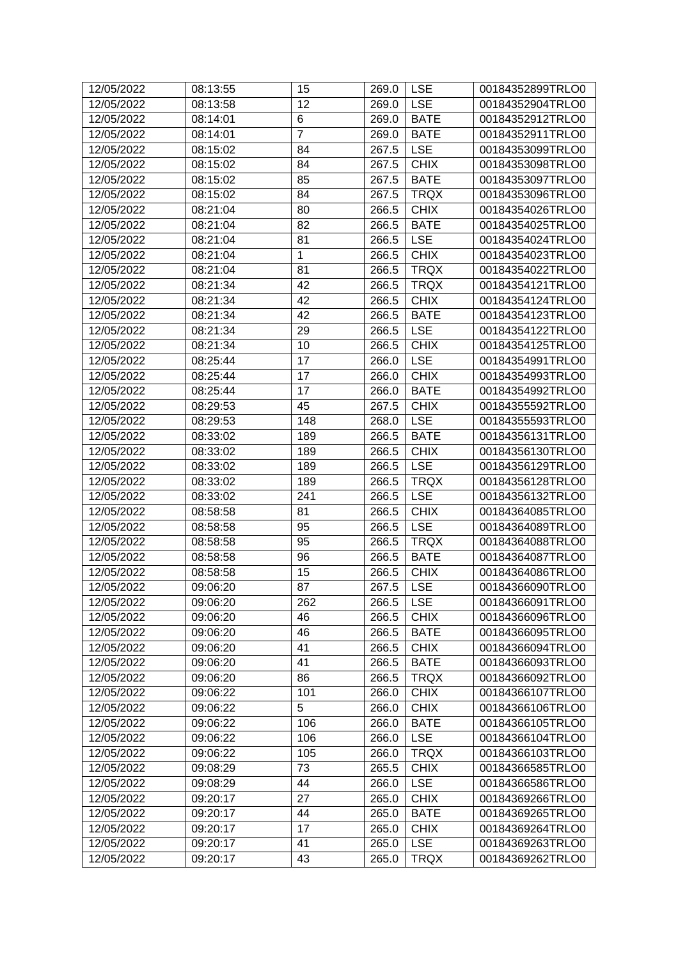| 12/05/2022 | 08:13:55 | 15             | 269.0 | <b>LSE</b>  | 00184352899TRLO0 |
|------------|----------|----------------|-------|-------------|------------------|
| 12/05/2022 | 08:13:58 | 12             | 269.0 | <b>LSE</b>  | 00184352904TRLO0 |
| 12/05/2022 | 08:14:01 | 6              | 269.0 | <b>BATE</b> | 00184352912TRLO0 |
| 12/05/2022 | 08:14:01 | $\overline{7}$ | 269.0 | <b>BATE</b> | 00184352911TRLO0 |
| 12/05/2022 | 08:15:02 | 84             | 267.5 | <b>LSE</b>  | 00184353099TRLO0 |
| 12/05/2022 | 08:15:02 | 84             | 267.5 | <b>CHIX</b> | 00184353098TRLO0 |
| 12/05/2022 | 08:15:02 | 85             | 267.5 | <b>BATE</b> | 00184353097TRLO0 |
| 12/05/2022 | 08:15:02 | 84             | 267.5 | <b>TRQX</b> | 00184353096TRLO0 |
| 12/05/2022 | 08:21:04 | 80             | 266.5 | <b>CHIX</b> | 00184354026TRLO0 |
| 12/05/2022 | 08:21:04 | 82             | 266.5 | <b>BATE</b> | 00184354025TRLO0 |
| 12/05/2022 | 08:21:04 | 81             | 266.5 | <b>LSE</b>  | 00184354024TRLO0 |
| 12/05/2022 | 08:21:04 | $\mathbf{1}$   | 266.5 | <b>CHIX</b> | 00184354023TRLO0 |
| 12/05/2022 | 08:21:04 | 81             | 266.5 | <b>TRQX</b> | 00184354022TRLO0 |
| 12/05/2022 | 08:21:34 | 42             | 266.5 | <b>TRQX</b> | 00184354121TRLO0 |
| 12/05/2022 | 08:21:34 | 42             | 266.5 | <b>CHIX</b> | 00184354124TRLO0 |
| 12/05/2022 | 08:21:34 | 42             | 266.5 | <b>BATE</b> | 00184354123TRLO0 |
| 12/05/2022 | 08:21:34 | 29             | 266.5 | <b>LSE</b>  | 00184354122TRLO0 |
| 12/05/2022 | 08:21:34 | 10             | 266.5 | <b>CHIX</b> | 00184354125TRLO0 |
| 12/05/2022 | 08:25:44 | 17             | 266.0 | <b>LSE</b>  | 00184354991TRLO0 |
| 12/05/2022 | 08:25:44 | 17             | 266.0 | <b>CHIX</b> | 00184354993TRLO0 |
| 12/05/2022 | 08:25:44 | 17             | 266.0 | <b>BATE</b> | 00184354992TRLO0 |
| 12/05/2022 | 08:29:53 | 45             | 267.5 | <b>CHIX</b> | 00184355592TRLO0 |
| 12/05/2022 | 08:29:53 | 148            | 268.0 | <b>LSE</b>  | 00184355593TRLO0 |
| 12/05/2022 | 08:33:02 | 189            | 266.5 | <b>BATE</b> | 00184356131TRLO0 |
| 12/05/2022 | 08:33:02 | 189            | 266.5 | <b>CHIX</b> | 00184356130TRLO0 |
| 12/05/2022 | 08:33:02 | 189            | 266.5 | <b>LSE</b>  | 00184356129TRLO0 |
| 12/05/2022 | 08:33:02 | 189            | 266.5 | <b>TRQX</b> | 00184356128TRLO0 |
| 12/05/2022 | 08:33:02 | 241            | 266.5 | <b>LSE</b>  | 00184356132TRLO0 |
| 12/05/2022 | 08:58:58 | 81             | 266.5 | <b>CHIX</b> | 00184364085TRLO0 |
| 12/05/2022 | 08:58:58 | 95             | 266.5 | <b>LSE</b>  | 00184364089TRLO0 |
| 12/05/2022 | 08:58:58 | 95             | 266.5 | <b>TRQX</b> | 00184364088TRLO0 |
| 12/05/2022 | 08:58:58 | 96             | 266.5 | <b>BATE</b> | 00184364087TRLO0 |
| 12/05/2022 | 08:58:58 | 15             | 266.5 | <b>CHIX</b> | 00184364086TRLO0 |
| 12/05/2022 | 09:06:20 | 87             | 267.5 | <b>LSE</b>  | 00184366090TRLO0 |
| 12/05/2022 | 09:06:20 | 262            | 266.5 | <b>LSE</b>  | 00184366091TRLO0 |
| 12/05/2022 | 09:06:20 | 46             | 266.5 | <b>CHIX</b> | 00184366096TRLO0 |
| 12/05/2022 | 09:06:20 | 46             | 266.5 | <b>BATE</b> | 00184366095TRLO0 |
| 12/05/2022 | 09:06:20 | 41             | 266.5 | <b>CHIX</b> | 00184366094TRLO0 |
| 12/05/2022 | 09:06:20 | 41             | 266.5 | <b>BATE</b> | 00184366093TRLO0 |
| 12/05/2022 | 09:06:20 | 86             | 266.5 | <b>TRQX</b> | 00184366092TRLO0 |
| 12/05/2022 | 09:06:22 | 101            | 266.0 | <b>CHIX</b> | 00184366107TRLO0 |
| 12/05/2022 | 09:06:22 | 5              | 266.0 | <b>CHIX</b> | 00184366106TRLO0 |
| 12/05/2022 | 09:06:22 | 106            | 266.0 | <b>BATE</b> | 00184366105TRLO0 |
| 12/05/2022 | 09:06:22 | 106            | 266.0 | <b>LSE</b>  | 00184366104TRLO0 |
| 12/05/2022 | 09:06:22 | 105            | 266.0 | <b>TRQX</b> | 00184366103TRLO0 |
| 12/05/2022 | 09:08:29 | 73             | 265.5 | <b>CHIX</b> | 00184366585TRLO0 |
| 12/05/2022 | 09:08:29 | 44             | 266.0 | <b>LSE</b>  | 00184366586TRLO0 |
| 12/05/2022 | 09:20:17 | 27             | 265.0 | <b>CHIX</b> | 00184369266TRLO0 |
| 12/05/2022 | 09:20:17 | 44             | 265.0 | <b>BATE</b> | 00184369265TRLO0 |
| 12/05/2022 | 09:20:17 | 17             | 265.0 | <b>CHIX</b> | 00184369264TRLO0 |
| 12/05/2022 | 09:20:17 | 41             | 265.0 | <b>LSE</b>  | 00184369263TRLO0 |
| 12/05/2022 | 09:20:17 | 43             | 265.0 | <b>TRQX</b> | 00184369262TRLO0 |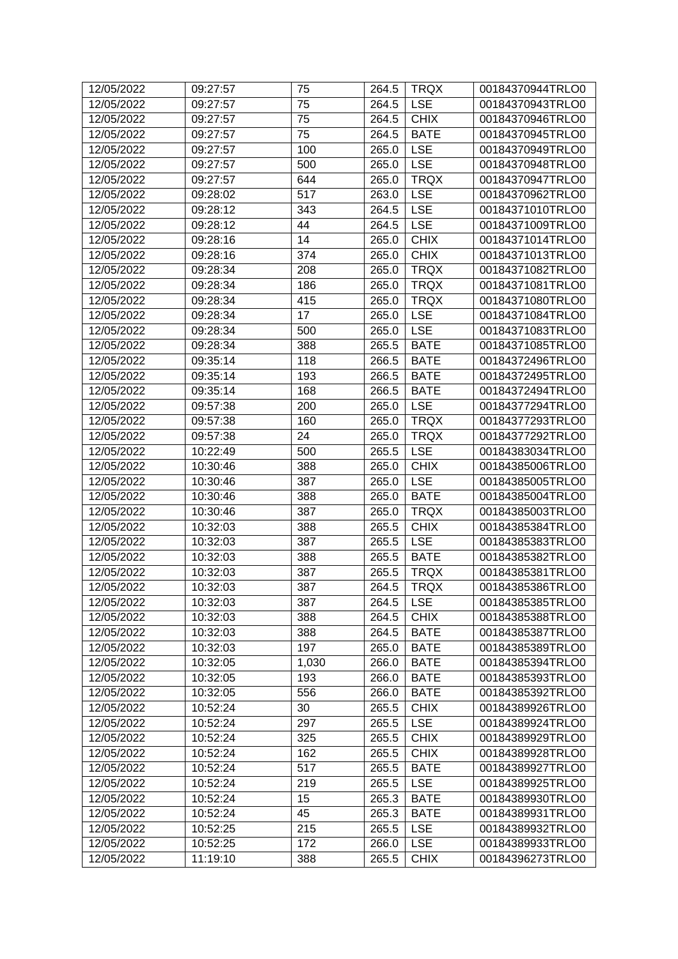| 12/05/2022 | 09:27:57 | 75    | 264.5 | <b>TRQX</b> | 00184370944TRLO0 |
|------------|----------|-------|-------|-------------|------------------|
| 12/05/2022 | 09:27:57 | 75    | 264.5 | <b>LSE</b>  | 00184370943TRLO0 |
| 12/05/2022 | 09:27:57 | 75    | 264.5 | <b>CHIX</b> | 00184370946TRLO0 |
| 12/05/2022 | 09:27:57 | 75    | 264.5 | <b>BATE</b> | 00184370945TRLO0 |
| 12/05/2022 | 09:27:57 | 100   | 265.0 | <b>LSE</b>  | 00184370949TRLO0 |
| 12/05/2022 | 09:27:57 | 500   | 265.0 | <b>LSE</b>  | 00184370948TRLO0 |
| 12/05/2022 | 09:27:57 | 644   | 265.0 | <b>TRQX</b> | 00184370947TRLO0 |
| 12/05/2022 | 09:28:02 | 517   | 263.0 | <b>LSE</b>  | 00184370962TRLO0 |
| 12/05/2022 | 09:28:12 | 343   | 264.5 | <b>LSE</b>  | 00184371010TRLO0 |
| 12/05/2022 | 09:28:12 | 44    | 264.5 | <b>LSE</b>  | 00184371009TRLO0 |
| 12/05/2022 | 09:28:16 | 14    | 265.0 | <b>CHIX</b> | 00184371014TRLO0 |
| 12/05/2022 | 09:28:16 | 374   | 265.0 | <b>CHIX</b> | 00184371013TRLO0 |
| 12/05/2022 | 09:28:34 | 208   | 265.0 | <b>TRQX</b> | 00184371082TRLO0 |
| 12/05/2022 | 09:28:34 | 186   | 265.0 | <b>TRQX</b> | 00184371081TRLO0 |
| 12/05/2022 | 09:28:34 | 415   | 265.0 | <b>TRQX</b> | 00184371080TRLO0 |
| 12/05/2022 | 09:28:34 | 17    | 265.0 | <b>LSE</b>  | 00184371084TRLO0 |
| 12/05/2022 | 09:28:34 | 500   | 265.0 | <b>LSE</b>  | 00184371083TRLO0 |
| 12/05/2022 | 09:28:34 | 388   | 265.5 | <b>BATE</b> | 00184371085TRLO0 |
| 12/05/2022 | 09:35:14 | 118   | 266.5 | <b>BATE</b> | 00184372496TRLO0 |
| 12/05/2022 | 09:35:14 | 193   | 266.5 | <b>BATE</b> | 00184372495TRLO0 |
| 12/05/2022 | 09:35:14 | 168   | 266.5 | <b>BATE</b> | 00184372494TRLO0 |
| 12/05/2022 | 09:57:38 | 200   | 265.0 | <b>LSE</b>  | 00184377294TRLO0 |
| 12/05/2022 | 09:57:38 | 160   | 265.0 | <b>TRQX</b> | 00184377293TRLO0 |
| 12/05/2022 | 09:57:38 | 24    | 265.0 | <b>TRQX</b> | 00184377292TRLO0 |
| 12/05/2022 | 10:22:49 | 500   | 265.5 | <b>LSE</b>  | 00184383034TRLO0 |
| 12/05/2022 | 10:30:46 | 388   | 265.0 | <b>CHIX</b> | 00184385006TRLO0 |
| 12/05/2022 | 10:30:46 | 387   | 265.0 | <b>LSE</b>  | 00184385005TRLO0 |
| 12/05/2022 | 10:30:46 | 388   | 265.0 | <b>BATE</b> | 00184385004TRLO0 |
| 12/05/2022 | 10:30:46 | 387   | 265.0 | <b>TRQX</b> | 00184385003TRLO0 |
| 12/05/2022 | 10:32:03 | 388   | 265.5 | <b>CHIX</b> | 00184385384TRLO0 |
| 12/05/2022 | 10:32:03 | 387   | 265.5 | <b>LSE</b>  | 00184385383TRLO0 |
| 12/05/2022 | 10:32:03 | 388   | 265.5 | <b>BATE</b> | 00184385382TRLO0 |
| 12/05/2022 | 10:32:03 | 387   | 265.5 | <b>TRQX</b> | 00184385381TRLO0 |
| 12/05/2022 | 10:32:03 | 387   | 264.5 | <b>TRQX</b> | 00184385386TRLO0 |
| 12/05/2022 | 10:32:03 | 387   | 264.5 | <b>LSE</b>  | 00184385385TRLO0 |
| 12/05/2022 | 10:32:03 | 388   | 264.5 | <b>CHIX</b> | 00184385388TRLO0 |
| 12/05/2022 | 10:32:03 | 388   | 264.5 | <b>BATE</b> | 00184385387TRLO0 |
| 12/05/2022 | 10:32:03 | 197   | 265.0 | <b>BATE</b> | 00184385389TRLO0 |
| 12/05/2022 | 10:32:05 | 1,030 | 266.0 | <b>BATE</b> | 00184385394TRLO0 |
| 12/05/2022 | 10:32:05 | 193   | 266.0 | <b>BATE</b> | 00184385393TRLO0 |
| 12/05/2022 | 10:32:05 | 556   | 266.0 | <b>BATE</b> | 00184385392TRLO0 |
| 12/05/2022 | 10:52:24 | 30    | 265.5 | <b>CHIX</b> | 00184389926TRLO0 |
| 12/05/2022 | 10:52:24 | 297   | 265.5 | <b>LSE</b>  | 00184389924TRLO0 |
| 12/05/2022 | 10:52:24 | 325   | 265.5 | <b>CHIX</b> | 00184389929TRLO0 |
| 12/05/2022 | 10:52:24 | 162   | 265.5 | <b>CHIX</b> | 00184389928TRLO0 |
| 12/05/2022 | 10:52:24 | 517   | 265.5 | <b>BATE</b> | 00184389927TRLO0 |
| 12/05/2022 | 10:52:24 | 219   | 265.5 | <b>LSE</b>  | 00184389925TRLO0 |
| 12/05/2022 | 10:52:24 | 15    | 265.3 | <b>BATE</b> | 00184389930TRLO0 |
| 12/05/2022 | 10:52:24 | 45    | 265.3 | <b>BATE</b> | 00184389931TRLO0 |
| 12/05/2022 | 10:52:25 | 215   | 265.5 | <b>LSE</b>  | 00184389932TRLO0 |
| 12/05/2022 | 10:52:25 | 172   | 266.0 | <b>LSE</b>  | 00184389933TRLO0 |
| 12/05/2022 | 11:19:10 | 388   | 265.5 | <b>CHIX</b> | 00184396273TRLO0 |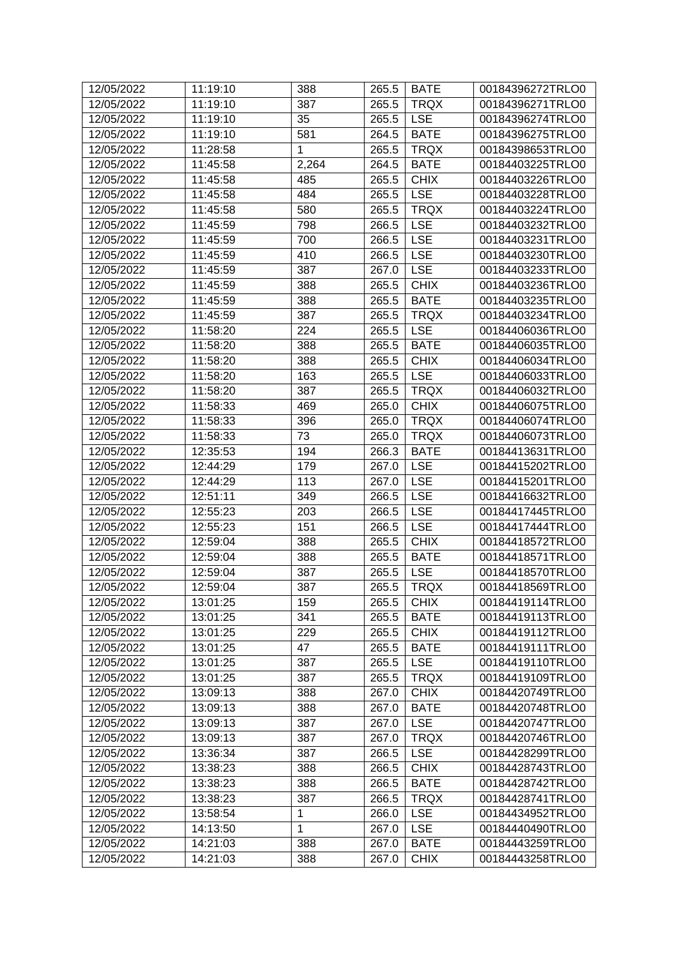| 12/05/2022 | 11:19:10 | 388          | 265.5 | <b>BATE</b> | 00184396272TRLO0 |
|------------|----------|--------------|-------|-------------|------------------|
| 12/05/2022 | 11:19:10 | 387          | 265.5 | <b>TRQX</b> | 00184396271TRLO0 |
| 12/05/2022 | 11:19:10 | 35           | 265.5 | <b>LSE</b>  | 00184396274TRLO0 |
| 12/05/2022 | 11:19:10 | 581          | 264.5 | <b>BATE</b> | 00184396275TRLO0 |
| 12/05/2022 | 11:28:58 | 1            | 265.5 | <b>TRQX</b> | 00184398653TRLO0 |
| 12/05/2022 | 11:45:58 | 2,264        | 264.5 | <b>BATE</b> | 00184403225TRLO0 |
| 12/05/2022 | 11:45:58 | 485          | 265.5 | <b>CHIX</b> | 00184403226TRLO0 |
| 12/05/2022 | 11:45:58 | 484          | 265.5 | <b>LSE</b>  | 00184403228TRLO0 |
| 12/05/2022 | 11:45:58 | 580          | 265.5 | <b>TRQX</b> | 00184403224TRLO0 |
| 12/05/2022 | 11:45:59 | 798          | 266.5 | <b>LSE</b>  | 00184403232TRLO0 |
| 12/05/2022 | 11:45:59 | 700          | 266.5 | <b>LSE</b>  | 00184403231TRLO0 |
| 12/05/2022 | 11:45:59 | 410          | 266.5 | <b>LSE</b>  | 00184403230TRLO0 |
| 12/05/2022 | 11:45:59 | 387          | 267.0 | <b>LSE</b>  | 00184403233TRLO0 |
| 12/05/2022 | 11:45:59 | 388          | 265.5 | <b>CHIX</b> | 00184403236TRLO0 |
| 12/05/2022 | 11:45:59 | 388          | 265.5 | <b>BATE</b> | 00184403235TRLO0 |
| 12/05/2022 | 11:45:59 | 387          | 265.5 | <b>TRQX</b> | 00184403234TRLO0 |
| 12/05/2022 | 11:58:20 | 224          | 265.5 | <b>LSE</b>  | 00184406036TRLO0 |
| 12/05/2022 | 11:58:20 | 388          | 265.5 | <b>BATE</b> | 00184406035TRLO0 |
| 12/05/2022 | 11:58:20 | 388          | 265.5 | <b>CHIX</b> | 00184406034TRLO0 |
| 12/05/2022 | 11:58:20 | 163          | 265.5 | <b>LSE</b>  | 00184406033TRLO0 |
| 12/05/2022 | 11:58:20 | 387          | 265.5 | <b>TRQX</b> | 00184406032TRLO0 |
| 12/05/2022 | 11:58:33 | 469          | 265.0 | <b>CHIX</b> | 00184406075TRLO0 |
| 12/05/2022 | 11:58:33 | 396          | 265.0 | <b>TRQX</b> | 00184406074TRLO0 |
| 12/05/2022 | 11:58:33 | 73           | 265.0 | <b>TRQX</b> | 00184406073TRLO0 |
| 12/05/2022 | 12:35:53 | 194          | 266.3 | <b>BATE</b> | 00184413631TRLO0 |
| 12/05/2022 | 12:44:29 | 179          | 267.0 | <b>LSE</b>  | 00184415202TRLO0 |
| 12/05/2022 | 12:44:29 | 113          | 267.0 | <b>LSE</b>  | 00184415201TRLO0 |
| 12/05/2022 | 12:51:11 | 349          | 266.5 | <b>LSE</b>  | 00184416632TRLO0 |
| 12/05/2022 | 12:55:23 | 203          | 266.5 | <b>LSE</b>  | 00184417445TRLO0 |
| 12/05/2022 | 12:55:23 | 151          | 266.5 | <b>LSE</b>  | 00184417444TRLO0 |
| 12/05/2022 | 12:59:04 | 388          | 265.5 | <b>CHIX</b> | 00184418572TRLO0 |
| 12/05/2022 | 12:59:04 | 388          | 265.5 | <b>BATE</b> | 00184418571TRLO0 |
| 12/05/2022 | 12:59:04 | 387          | 265.5 | <b>LSE</b>  | 00184418570TRLO0 |
| 12/05/2022 | 12:59:04 | 387          | 265.5 | <b>TRQX</b> | 00184418569TRLO0 |
| 12/05/2022 | 13:01:25 | 159          | 265.5 | <b>CHIX</b> | 00184419114TRLO0 |
| 12/05/2022 | 13:01:25 | 341          | 265.5 | <b>BATE</b> | 00184419113TRLO0 |
| 12/05/2022 | 13:01:25 | 229          | 265.5 | <b>CHIX</b> | 00184419112TRLO0 |
|            |          |              |       |             |                  |
| 12/05/2022 | 13:01:25 | 47           | 265.5 | <b>BATE</b> | 00184419111TRLO0 |
| 12/05/2022 | 13:01:25 | 387          | 265.5 | <b>LSE</b>  | 00184419110TRLO0 |
| 12/05/2022 | 13:01:25 | 387          | 265.5 | <b>TRQX</b> | 00184419109TRLO0 |
| 12/05/2022 | 13:09:13 | 388          | 267.0 | <b>CHIX</b> | 00184420749TRLO0 |
| 12/05/2022 | 13:09:13 | 388          | 267.0 | <b>BATE</b> | 00184420748TRLO0 |
| 12/05/2022 | 13:09:13 | 387          | 267.0 | <b>LSE</b>  | 00184420747TRLO0 |
| 12/05/2022 | 13:09:13 | 387          | 267.0 | <b>TRQX</b> | 00184420746TRLO0 |
| 12/05/2022 | 13:36:34 | 387          | 266.5 | <b>LSE</b>  | 00184428299TRLO0 |
| 12/05/2022 | 13:38:23 | 388          | 266.5 | <b>CHIX</b> | 00184428743TRLO0 |
| 12/05/2022 | 13:38:23 | 388          | 266.5 | <b>BATE</b> | 00184428742TRLO0 |
| 12/05/2022 | 13:38:23 | 387          | 266.5 | <b>TRQX</b> | 00184428741TRLO0 |
| 12/05/2022 | 13:58:54 | $\mathbf 1$  | 266.0 | <b>LSE</b>  | 00184434952TRLO0 |
| 12/05/2022 | 14:13:50 | $\mathbf{1}$ | 267.0 | <b>LSE</b>  | 00184440490TRLO0 |
| 12/05/2022 | 14:21:03 | 388          | 267.0 | <b>BATE</b> | 00184443259TRLO0 |
| 12/05/2022 | 14:21:03 | 388          | 267.0 | <b>CHIX</b> | 00184443258TRLO0 |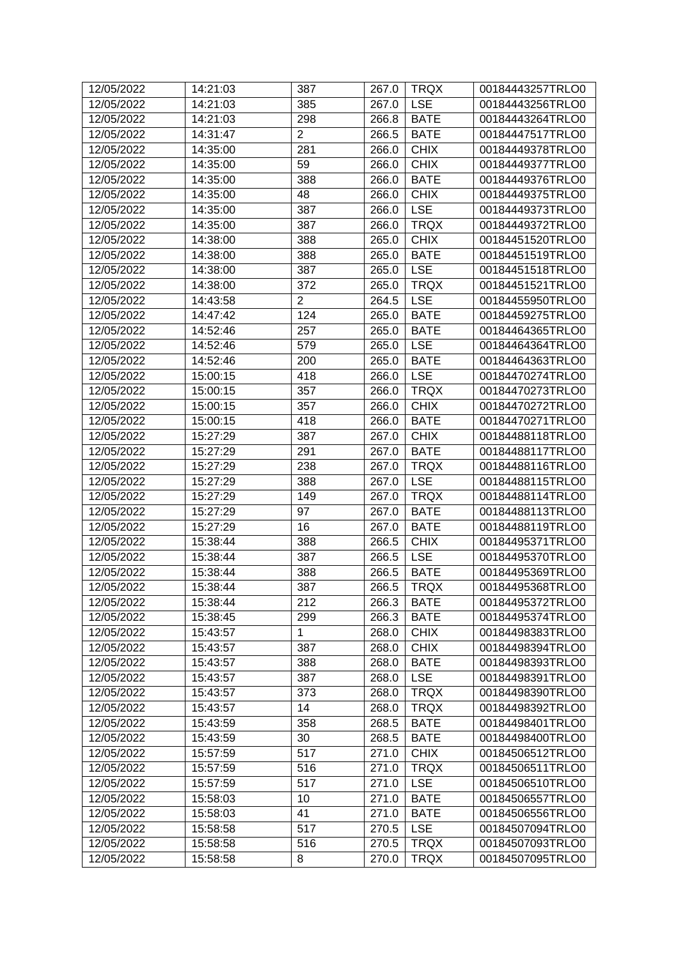| 12/05/2022 | 14:21:03 | 387                   | 267.0 | <b>TRQX</b> | 00184443257TRLO0 |
|------------|----------|-----------------------|-------|-------------|------------------|
| 12/05/2022 | 14:21:03 | 385                   | 267.0 | <b>LSE</b>  | 00184443256TRLO0 |
| 12/05/2022 | 14:21:03 | 298<br>$\overline{2}$ | 266.8 | <b>BATE</b> | 00184443264TRLO0 |
| 12/05/2022 | 14:31:47 |                       | 266.5 | <b>BATE</b> | 00184447517TRLO0 |
| 12/05/2022 | 14:35:00 | 281                   | 266.0 | <b>CHIX</b> | 00184449378TRLO0 |
| 12/05/2022 | 14:35:00 | 59                    | 266.0 | <b>CHIX</b> | 00184449377TRLO0 |
| 12/05/2022 | 14:35:00 | 388                   | 266.0 | <b>BATE</b> | 00184449376TRLO0 |
| 12/05/2022 | 14:35:00 | 48                    | 266.0 | <b>CHIX</b> | 00184449375TRLO0 |
| 12/05/2022 | 14:35:00 | 387                   | 266.0 | <b>LSE</b>  | 00184449373TRLO0 |
| 12/05/2022 | 14:35:00 | 387                   | 266.0 | <b>TRQX</b> | 00184449372TRLO0 |
| 12/05/2022 | 14:38:00 | 388                   | 265.0 | <b>CHIX</b> | 00184451520TRLO0 |
| 12/05/2022 | 14:38:00 | 388                   | 265.0 | <b>BATE</b> | 00184451519TRLO0 |
| 12/05/2022 | 14:38:00 | 387                   | 265.0 | <b>LSE</b>  | 00184451518TRLO0 |
| 12/05/2022 | 14:38:00 | 372                   | 265.0 | <b>TRQX</b> | 00184451521TRLO0 |
| 12/05/2022 | 14:43:58 | $\overline{2}$        | 264.5 | <b>LSE</b>  | 00184455950TRLO0 |
| 12/05/2022 | 14:47:42 | 124                   | 265.0 | <b>BATE</b> | 00184459275TRLO0 |
| 12/05/2022 | 14:52:46 | 257                   | 265.0 | <b>BATE</b> | 00184464365TRLO0 |
| 12/05/2022 | 14:52:46 | 579                   | 265.0 | <b>LSE</b>  | 00184464364TRLO0 |
| 12/05/2022 | 14:52:46 | 200                   | 265.0 | <b>BATE</b> | 00184464363TRLO0 |
| 12/05/2022 | 15:00:15 | 418                   | 266.0 | <b>LSE</b>  | 00184470274TRLO0 |
| 12/05/2022 | 15:00:15 | 357                   | 266.0 | <b>TRQX</b> | 00184470273TRLO0 |
| 12/05/2022 | 15:00:15 | 357                   | 266.0 | <b>CHIX</b> | 00184470272TRLO0 |
| 12/05/2022 | 15:00:15 | 418                   | 266.0 | <b>BATE</b> | 00184470271TRLO0 |
| 12/05/2022 | 15:27:29 | 387                   | 267.0 | <b>CHIX</b> | 00184488118TRLO0 |
| 12/05/2022 | 15:27:29 | 291                   | 267.0 | <b>BATE</b> | 00184488117TRLO0 |
| 12/05/2022 | 15:27:29 | 238                   | 267.0 | <b>TRQX</b> | 00184488116TRLO0 |
| 12/05/2022 | 15:27:29 | 388                   | 267.0 | <b>LSE</b>  | 00184488115TRLO0 |
| 12/05/2022 | 15:27:29 | 149                   | 267.0 | <b>TRQX</b> | 00184488114TRLO0 |
| 12/05/2022 | 15:27:29 | 97                    | 267.0 | <b>BATE</b> | 00184488113TRLO0 |
| 12/05/2022 | 15:27:29 | 16                    | 267.0 | <b>BATE</b> | 00184488119TRLO0 |
| 12/05/2022 | 15:38:44 | 388                   | 266.5 | <b>CHIX</b> | 00184495371TRLO0 |
| 12/05/2022 | 15:38:44 | 387                   | 266.5 | <b>LSE</b>  | 00184495370TRLO0 |
| 12/05/2022 | 15:38:44 | 388                   | 266.5 | <b>BATE</b> | 00184495369TRLO0 |
| 12/05/2022 | 15:38:44 | 387                   | 266.5 | <b>TRQX</b> | 00184495368TRLO0 |
| 12/05/2022 | 15:38:44 | 212                   | 266.3 | <b>BATE</b> | 00184495372TRLO0 |
| 12/05/2022 | 15:38:45 | 299                   | 266.3 | <b>BATE</b> | 00184495374TRLO0 |
| 12/05/2022 | 15:43:57 | $\mathbf{1}$          | 268.0 | <b>CHIX</b> | 00184498383TRLO0 |
| 12/05/2022 | 15:43:57 | 387                   | 268.0 | <b>CHIX</b> | 00184498394TRLO0 |
| 12/05/2022 | 15:43:57 | 388                   | 268.0 | <b>BATE</b> | 00184498393TRLO0 |
| 12/05/2022 | 15:43:57 | 387                   | 268.0 | <b>LSE</b>  | 00184498391TRLO0 |
| 12/05/2022 | 15:43:57 | 373                   | 268.0 | <b>TRQX</b> | 00184498390TRLO0 |
| 12/05/2022 | 15:43:57 | 14                    | 268.0 | <b>TRQX</b> | 00184498392TRLO0 |
| 12/05/2022 | 15:43:59 |                       |       | <b>BATE</b> | 00184498401TRLO0 |
|            |          | 358                   | 268.5 |             |                  |
| 12/05/2022 | 15:43:59 | 30                    | 268.5 | <b>BATE</b> | 00184498400TRLO0 |
| 12/05/2022 | 15:57:59 | 517                   | 271.0 | <b>CHIX</b> | 00184506512TRLO0 |
| 12/05/2022 | 15:57:59 | 516                   | 271.0 | <b>TRQX</b> | 00184506511TRLO0 |
| 12/05/2022 | 15:57:59 | 517                   | 271.0 | <b>LSE</b>  | 00184506510TRLO0 |
| 12/05/2022 | 15:58:03 | 10                    | 271.0 | <b>BATE</b> | 00184506557TRLO0 |
| 12/05/2022 | 15:58:03 | 41                    | 271.0 | <b>BATE</b> | 00184506556TRLO0 |
| 12/05/2022 | 15:58:58 | 517                   | 270.5 | <b>LSE</b>  | 00184507094TRLO0 |
| 12/05/2022 | 15:58:58 | 516                   | 270.5 | <b>TRQX</b> | 00184507093TRLO0 |
| 12/05/2022 | 15:58:58 | 8                     | 270.0 | <b>TRQX</b> | 00184507095TRLO0 |